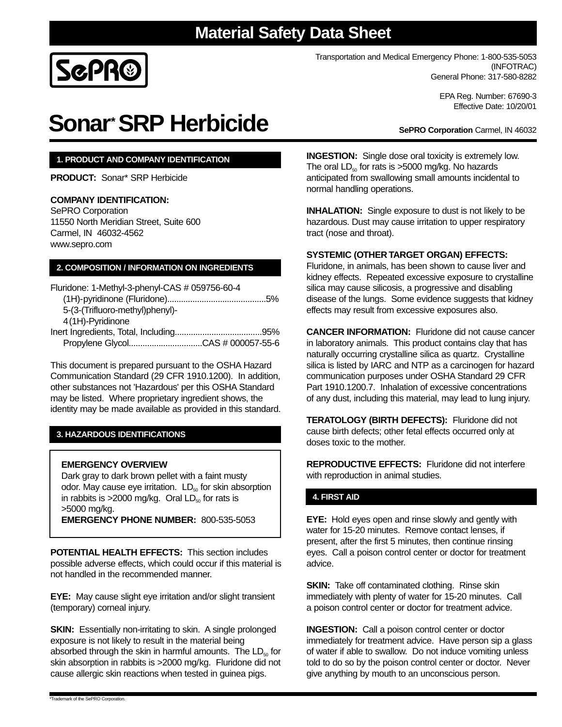# **Material Safety Data Sheet**



Transportation and Medical Emergency Phone: 1-800-535-5053 (INFOTRAC) General Phone: 317-580-8282

> EPA Reg. Number: 67690-3 Effective Date: 10/20/01

**SePRO Corporation** Carmel, IN 46032

# **Sonar\*SRP Herbicide**

# **1. PRODUCT AND COMPANY IDENTIFICATION**

**PRODUCT:** Sonar\* SRP Herbicide

### **COMPANY IDENTIFICATION:**

SePRO Corporation 11550 North Meridian Street, Suite 600 Carmel, IN 46032-4562 www.sepro.com

# **2. COMPOSITION / INFORMATION ON INGREDIENTS**

Fluridone: 1-Methyl-3-phenyl-CAS # 059756-60-4 (1H)-pyridinone (Fluridone)...........................................5% 5-(3-(Trifluoro-methyl)phenyl)- 4(1H)-Pyridinone Inert Ingredients, Total, Including......................................95%

Propylene Glycol................................CAS # 000057-55-6

This document is prepared pursuant to the OSHA Hazard Communication Standard (29 CFR 1910.1200). In addition, other substances not 'Hazardous' per this OSHA Standard may be listed. Where proprietary ingredient shows, the identity may be made available as provided in this standard.

# **3. HAZARDOUS IDENTIFICATIONS**

#### **EMERGENCY OVERVIEW**

Dark gray to dark brown pellet with a faint musty odor. May cause eye irritation.  $LD_{50}$  for skin absorption in rabbits is  $>2000$  mg/kg. Oral  $LD_{50}$  for rats is >5000 mg/kg. **EMERGENCY PHONE NUMBER:** 800-535-5053

**POTENTIAL HEALTH EFFECTS:** This section includes possible adverse effects, which could occur if this material is not handled in the recommended manner.

**EYE:** May cause slight eye irritation and/or slight transient (temporary) corneal injury.

**SKIN:** Essentially non-irritating to skin. A single prolonged exposure is not likely to result in the material being absorbed through the skin in harmful amounts. The  $LD_{50}$  for skin absorption in rabbits is >2000 mg/kg. Fluridone did not cause allergic skin reactions when tested in guinea pigs.

**INGESTION:** Single dose oral toxicity is extremely low. The oral  $LD_{50}$  for rats is >5000 mg/kg. No hazards anticipated from swallowing small amounts incidental to normal handling operations.

**INHALATION:** Single exposure to dust is not likely to be hazardous. Dust may cause irritation to upper respiratory tract (nose and throat).

#### **SYSTEMIC (OTHER TARGET ORGAN) EFFECTS:**

Fluridone, in animals, has been shown to cause liver and kidney effects. Repeated excessive exposure to crystalline silica may cause silicosis, a progressive and disabling disease of the lungs. Some evidence suggests that kidney effects may result from excessive exposures also.

**CANCER INFORMATION:** Fluridone did not cause cancer in laboratory animals. This product contains clay that has naturally occurring crystalline silica as quartz. Crystalline silica is listed by IARC and NTP as a carcinogen for hazard communication purposes under OSHA Standard 29 CFR Part 1910.1200.7. Inhalation of excessive concentrations of any dust, including this material, may lead to lung injury.

**TERATOLOGY (BIRTH DEFECTS):** Fluridone did not cause birth defects; other fetal effects occurred only at doses toxic to the mother.

**REPRODUCTIVE EFFECTS:** Fluridone did not interfere with reproduction in animal studies.

# **4. FIRST AID**

**EYE:** Hold eyes open and rinse slowly and gently with water for 15-20 minutes. Remove contact lenses, if present, after the first 5 minutes, then continue rinsing eyes. Call a poison control center or doctor for treatment advice.

**SKIN:** Take off contaminated clothing. Rinse skin immediately with plenty of water for 15-20 minutes. Call a poison control center or doctor for treatment advice.

**INGESTION:** Call a poison control center or doctor immediately for treatment advice. Have person sip a glass of water if able to swallow. Do not induce vomiting unless told to do so by the poison control center or doctor. Never give anything by mouth to an unconscious person.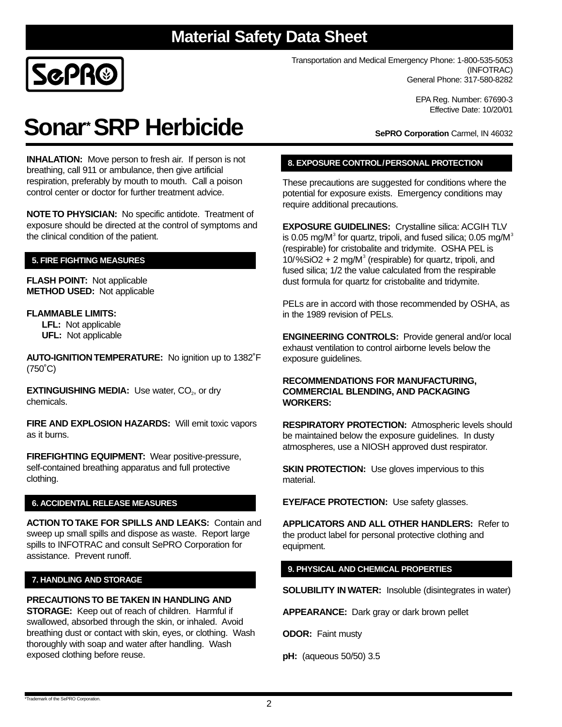# **Material Safety Data Sheet**



Transportation and Medical Emergency Phone: 1-800-535-5053 (INFOTRAC) General Phone: 317-580-8282

> EPA Reg. Number: 67690-3 Effective Date: 10/20/01

# **Sonar\*SRP Herbicide**

**INHALATION:** Move person to fresh air. If person is not breathing, call 911 or ambulance, then give artificial respiration, preferably by mouth to mouth. Call a poison control center or doctor for further treatment advice.

**NOTE TO PHYSICIAN:** No specific antidote. Treatment of exposure should be directed at the control of symptoms and the clinical condition of the patient.

# **5. FIRE FIGHTING MEASURES**

**FLASH POINT:** Not applicable **METHOD USED:** Not applicable

# **FLAMMABLE LIMITS:**

**LFL:** Not applicable **UFL:** Not applicable

**AUTO-IGNITION TEMPERATURE:** No ignition up to 1382˚F (750˚C)

**EXTINGUISHING MEDIA:** Use water, CO<sub>2</sub>, or dry chemicals.

**FIRE AND EXPLOSION HAZARDS:** Will emit toxic vapors as it burns.

**FIREFIGHTING EQUIPMENT:** Wear positive-pressure, self-contained breathing apparatus and full protective clothing.

# **6. ACCIDENTAL RELEASE MEASURES**

**ACTION TO TAKE FOR SPILLS AND LEAKS:** Contain and sweep up small spills and dispose as waste. Report large spills to INFOTRAC and consult SePRO Corporation for assistance. Prevent runoff.

# **7. HANDLING AND STORAGE**

exposed clothing before reuse.

**PRECAUTIONS TO BE TAKEN IN HANDLING AND STORAGE:** Keep out of reach of children. Harmful if swallowed, absorbed through the skin, or inhaled. Avoid breathing dust or contact with skin, eyes, or clothing. Wash thoroughly with soap and water after handling. Wash

**SePRO Corporation** Carmel, IN 46032

# **8. EXPOSURE CONTROL/PERSONAL PROTECTION**

These precautions are suggested for conditions where the potential for exposure exists. Emergency conditions may require additional precautions.

**EXPOSURE GUIDELINES:** Crystalline silica: ACGIH TLV is 0.05 mg/M $^3$  for quartz, tripoli, and fused silica; 0.05 mg/M $^3$ (respirable) for cristobalite and tridymite. OSHA PEL is 10/%SiO2 + 2 mg/M $3$  (respirable) for quartz, tripoli, and fused silica; 1/2 the value calculated from the respirable dust formula for quartz for cristobalite and tridymite.

PELs are in accord with those recommended by OSHA, as in the 1989 revision of PELs.

**ENGINEERING CONTROLS:** Provide general and/or local exhaust ventilation to control airborne levels below the exposure guidelines.

#### **RECOMMENDATIONS FOR MANUFACTURING, COMMERCIAL BLENDING, AND PACKAGING WORKERS:**

**RESPIRATORY PROTECTION:** Atmospheric levels should be maintained below the exposure guidelines. In dusty atmospheres, use a NIOSH approved dust respirator.

**SKIN PROTECTION:** Use gloves impervious to this material.

**EYE/FACE PROTECTION:** Use safety glasses.

**APPLICATORS AND ALL OTHER HANDLERS:** Refer to the product label for personal protective clothing and equipment.

# **9. PHYSICAL AND CHEMICAL PROPERTIES**

**SOLUBILITY IN WATER:** Insoluble (disintegrates in water)

**APPEARANCE:** Dark gray or dark brown pellet

**ODOR:** Faint musty

**pH:** (aqueous 50/50) 3.5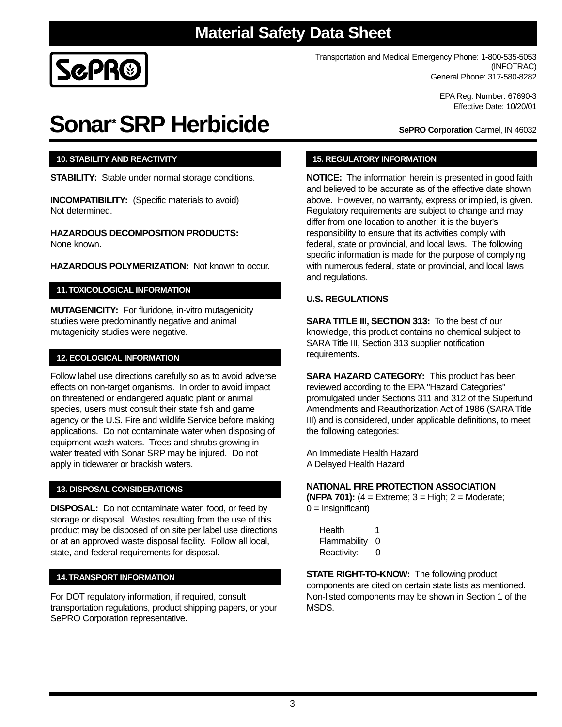3

# **Material Safety Data Sheet**

Transportation and Medical Emergency Phone: 1-800-535-5053 (INFOTRAC) General Phone: 317-580-8282

> EPA Reg. Number: 67690-3 Effective Date: 10/20/01

**Sonar\*SRP Herbicide**

# **10. STABILITY AND REACTIVITY**

**STABILITY:** Stable under normal storage conditions.

**INCOMPATIBILITY:** (Specific materials to avoid) Not determined.

**HAZARDOUS DECOMPOSITION PRODUCTS:** None known.

**HAZARDOUS POLYMERIZATION:** Not known to occur.

# **11.TOXICOLOGICAL INFORMATION**

**MUTAGENICITY:** For fluridone, in-vitro mutagenicity studies were predominantly negative and animal mutagenicity studies were negative.

### **12. ECOLOGICAL INFORMATION**

Follow label use directions carefully so as to avoid adverse effects on non-target organisms. In order to avoid impact on threatened or endangered aquatic plant or animal species, users must consult their state fish and game agency or the U.S. Fire and wildlife Service before making applications. Do not contaminate water when disposing of equipment wash waters. Trees and shrubs growing in water treated with Sonar SRP may be injured. Do not apply in tidewater or brackish waters.

#### **13. DISPOSAL CONSIDERATIONS**

**DISPOSAL:** Do not contaminate water, food, or feed by storage or disposal. Wastes resulting from the use of this product may be disposed of on site per label use directions or at an approved waste disposal facility. Follow all local, state, and federal requirements for disposal.

#### **14.TRANSPORT INFORMATION**

For DOT regulatory information, if required, consult transportation regulations, product shipping papers, or your SePRO Corporation representative.

# **15. REGULATORY INFORMATION**

**NOTICE:** The information herein is presented in good faith and believed to be accurate as of the effective date shown above. However, no warranty, express or implied, is given. Regulatory requirements are subject to change and may differ from one location to another; it is the buyer's responsibility to ensure that its activities comply with federal, state or provincial, and local laws. The following specific information is made for the purpose of complying with numerous federal, state or provincial, and local laws and regulations.

# **U.S. REGULATIONS**

**SARA TITLE III, SECTION 313:** To the best of our knowledge, this product contains no chemical subject to SARA Title III, Section 313 supplier notification requirements.

**SARA HAZARD CATEGORY:** This product has been reviewed according to the EPA "Hazard Categories" promulgated under Sections 311 and 312 of the Superfund Amendments and Reauthorization Act of 1986 (SARA Title III) and is considered, under applicable definitions, to meet the following categories:

An Immediate Health Hazard A Delayed Health Hazard

## **NATIONAL FIRE PROTECTION ASSOCIATION**

**(NFPA 701):** (4 = Extreme; 3 = High; 2 = Moderate;  $0 =$  Insignificant)

Health 1 Flammability 0 Reactivity: 0

**STATE RIGHT-TO-KNOW:** The following product components are cited on certain state lists as mentioned. Non-listed components may be shown in Section 1 of the MSDS.